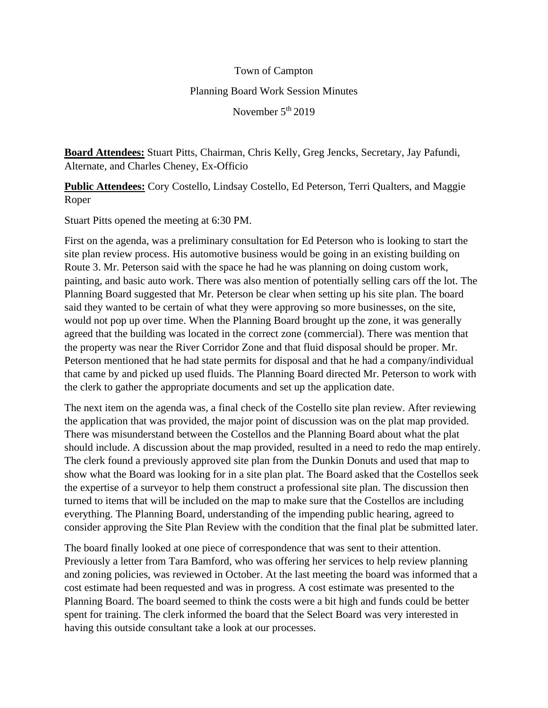## Town of Campton Planning Board Work Session Minutes November 5<sup>th</sup> 2019

**Board Attendees:** Stuart Pitts, Chairman, Chris Kelly, Greg Jencks, Secretary, Jay Pafundi, Alternate, and Charles Cheney, Ex-Officio

**Public Attendees:** Cory Costello, Lindsay Costello, Ed Peterson, Terri Qualters, and Maggie Roper

Stuart Pitts opened the meeting at 6:30 PM.

First on the agenda, was a preliminary consultation for Ed Peterson who is looking to start the site plan review process. His automotive business would be going in an existing building on Route 3. Mr. Peterson said with the space he had he was planning on doing custom work, painting, and basic auto work. There was also mention of potentially selling cars off the lot. The Planning Board suggested that Mr. Peterson be clear when setting up his site plan. The board said they wanted to be certain of what they were approving so more businesses, on the site, would not pop up over time. When the Planning Board brought up the zone, it was generally agreed that the building was located in the correct zone (commercial). There was mention that the property was near the River Corridor Zone and that fluid disposal should be proper. Mr. Peterson mentioned that he had state permits for disposal and that he had a company/individual that came by and picked up used fluids. The Planning Board directed Mr. Peterson to work with the clerk to gather the appropriate documents and set up the application date.

The next item on the agenda was, a final check of the Costello site plan review. After reviewing the application that was provided, the major point of discussion was on the plat map provided. There was misunderstand between the Costellos and the Planning Board about what the plat should include. A discussion about the map provided, resulted in a need to redo the map entirely. The clerk found a previously approved site plan from the Dunkin Donuts and used that map to show what the Board was looking for in a site plan plat. The Board asked that the Costellos seek the expertise of a surveyor to help them construct a professional site plan. The discussion then turned to items that will be included on the map to make sure that the Costellos are including everything. The Planning Board, understanding of the impending public hearing, agreed to consider approving the Site Plan Review with the condition that the final plat be submitted later.

The board finally looked at one piece of correspondence that was sent to their attention. Previously a letter from Tara Bamford, who was offering her services to help review planning and zoning policies, was reviewed in October. At the last meeting the board was informed that a cost estimate had been requested and was in progress. A cost estimate was presented to the Planning Board. The board seemed to think the costs were a bit high and funds could be better spent for training. The clerk informed the board that the Select Board was very interested in having this outside consultant take a look at our processes.